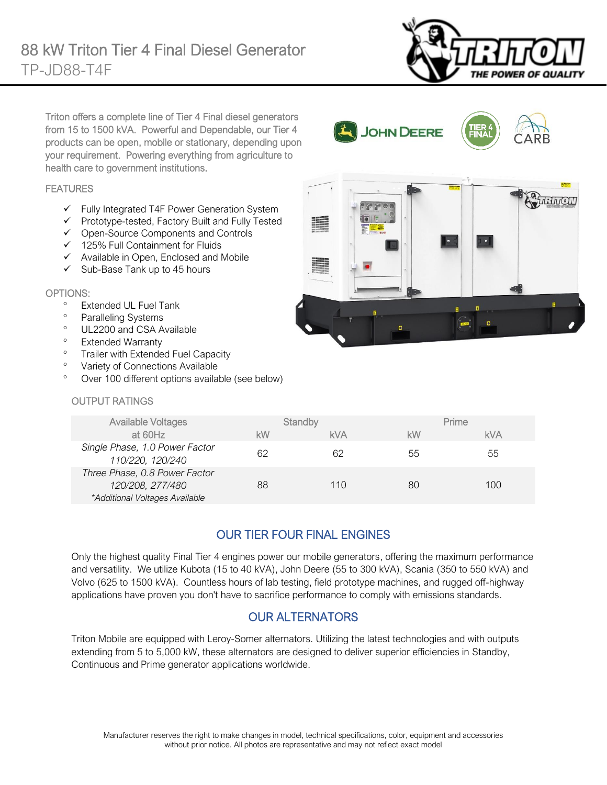

Triton offers a complete line of Tier 4 Final diesel generators from 15 to 1500 kVA. Powerful and Dependable, our Tier 4 products can be open, mobile or stationary, depending upon your requirement. Powering everything from agriculture to health care to government institutions.

#### FEATURES

- ✓ Fully Integrated T4F Power Generation System
- ✓ Prototype-tested, Factory Built and Fully Tested
- ✓ Open-Source Components and Controls
- ✓ 125% Full Containment for Fluids
- ✓ Available in Open, Enclosed and Mobile
- $\checkmark$  Sub-Base Tank up to 45 hours

#### OPTIONS:

- Extended UL Fuel Tank
- <sup>o</sup> Paralleling Systems
- <sup>o</sup> UL2200 and CSA Available
- Extended Warranty
- <sup>o</sup> Trailer with Extended Fuel Capacity
- <sup>o</sup> Variety of Connections Available
- Over 100 different options available (see below)

# OUTPUT RATINGS

| JUTFUT KATIINGO                                                                     |         |     |       |     |
|-------------------------------------------------------------------------------------|---------|-----|-------|-----|
| <b>Available Voltages</b>                                                           | Standby |     | Prime |     |
| at $60Hz$                                                                           | kW      | kVA | kW    | kVA |
| Single Phase, 1.0 Power Factor<br>110/220, 120/240                                  | 62      | 62  | 55    | 55  |
| Three Phase, 0.8 Power Factor<br>120/208, 277/480<br>*Additional Voltages Available | 88      | 110 | 80    | 100 |

# OUR TIER FOUR FINAL ENGINES

Only the highest quality Final Tier 4 engines power our mobile generators, offering the maximum performance and versatility. We utilize Kubota (15 to 40 kVA), John Deere (55 to 300 kVA), Scania (350 to 550 kVA) and Volvo (625 to 1500 kVA). Countless hours of lab testing, field prototype machines, and rugged off-highway applications have proven you don't have to sacrifice performance to comply with emissions standards.

### OUR ALTERNATORS

Triton Mobile are equipped with Leroy-Somer alternators. Utilizing the latest technologies and with outputs extending from 5 to 5,000 kW, these alternators are designed to deliver superior efficiencies in Standby, Continuous and Prime generator applications worldwide.



JOHN DEERE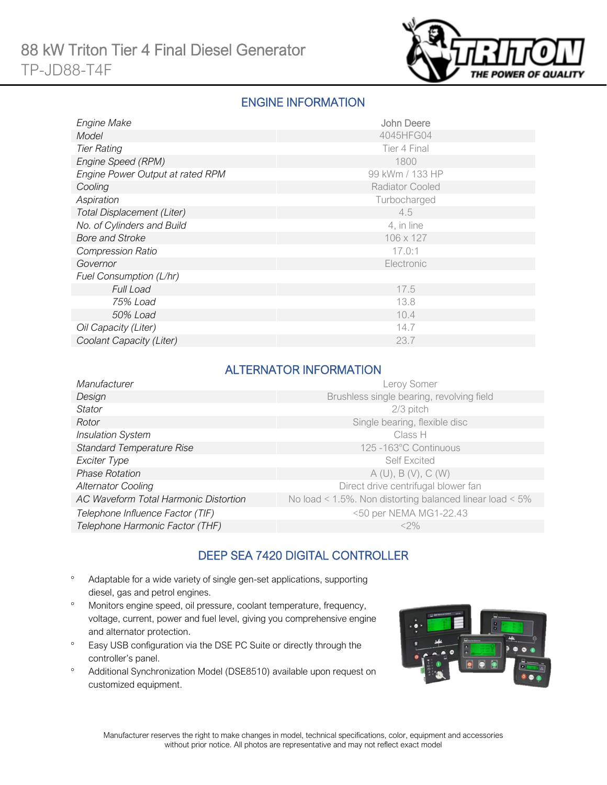

# ENGINE INFORMATION

| Engine Make                      | John Deere             |
|----------------------------------|------------------------|
| Model                            | 4045HFG04              |
| <b>Tier Rating</b>               | Tier 4 Final           |
| Engine Speed (RPM)               | 1800                   |
| Engine Power Output at rated RPM | 99 kWm / 133 HP        |
| Cooling                          | <b>Radiator Cooled</b> |
| Aspiration                       | Turbocharged           |
| Total Displacement (Liter)       | 4.5                    |
| No. of Cylinders and Build       | 4, in line             |
| <b>Bore and Stroke</b>           | 106 x 127              |
| <b>Compression Ratio</b>         | 17.0:1                 |
| Governor                         | Electronic             |
| Fuel Consumption (L/hr)          |                        |
| <b>Full Load</b>                 | 17.5                   |
| 75% Load                         | 13.8                   |
| 50% Load                         | 10.4                   |
| Oil Capacity (Liter)             | 14.7                   |
| Coolant Capacity (Liter)         | 23.7                   |

### ALTERNATOR INFORMATION

| Manufacturer                          | Leroy Somer                                              |
|---------------------------------------|----------------------------------------------------------|
| Design                                | Brushless single bearing, revolving field                |
| <b>Stator</b>                         | 2/3 pitch                                                |
| Rotor                                 | Single bearing, flexible disc                            |
| <b>Insulation System</b>              | Class H                                                  |
| <b>Standard Temperature Rise</b>      | 125 -163°C Continuous                                    |
| Exciter Type                          | <b>Self Excited</b>                                      |
| <b>Phase Rotation</b>                 | A(U), B(V), C(W)                                         |
| <b>Alternator Cooling</b>             | Direct drive centrifugal blower fan                      |
| AC Waveform Total Harmonic Distortion | No load < 1.5%. Non distorting balanced linear load < 5% |
| Telephone Influence Factor (TIF)      | <50 per NEMA MG1-22.43                                   |
| Telephone Harmonic Factor (THF)       | $<$ 2%                                                   |

# DEEP SEA 7420 DIGITAL CONTROLLER

- Adaptable for a wide variety of single gen-set applications, supporting diesel, gas and petrol engines.
- Monitors engine speed, oil pressure, coolant temperature, frequency, voltage, current, power and fuel level, giving you comprehensive engine and alternator protection.
- <sup>o</sup> Easy USB configuration via the DSE PC Suite or directly through the controller's panel.
- Additional Synchronization Model (DSE8510) available upon request on customized equipment.

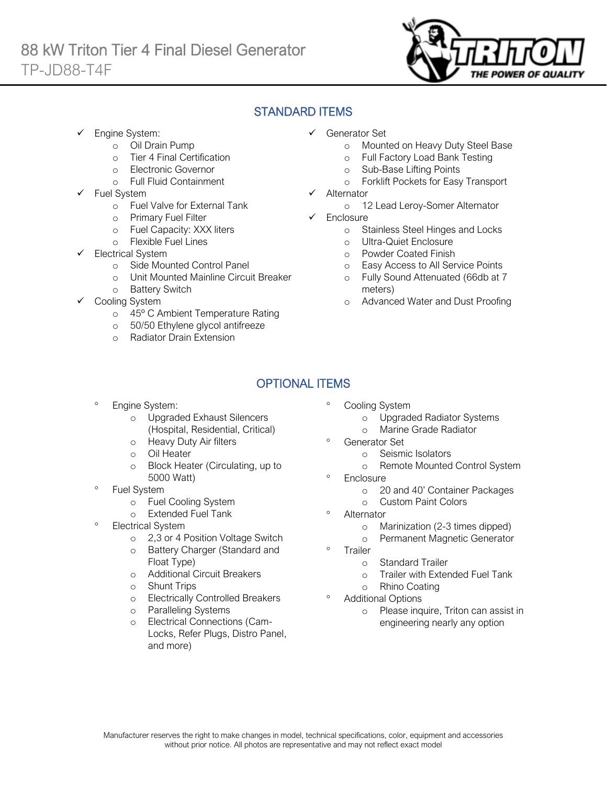

# STANDARD ITEMS

Engine System:

Ī

- o Oil Drain Pump
- o Tier 4 Final Certification
- o Electronic Governor
- o Full Fluid Containment
- Fuel System
	- o Fuel Valve for External Tank
	- o Primary Fuel Filter
	- o Fuel Capacity: XXX liters
	- o Flexible Fuel Lines
- Electrical System
	- o Side Mounted Control Panel
	- o Unit Mounted Mainline Circuit Breaker
	- o Battery Switch
- Cooling System
	- o 45º C Ambient Temperature Rating
	- o 50/50 Ethylene glycol antifreeze
	- o Radiator Drain Extension
- ✓ Generator Set
	- o Mounted on Heavy Duty Steel Base
	- o Full Factory Load Bank Testing
	- o Sub-Base Lifting Points
	- o Forklift Pockets for Easy Transport
- **Alternator** 
	- o 12 Lead Leroy-Somer Alternator
- ✓ Enclosure
	- o Stainless Steel Hinges and Locks
	- o Ultra-Quiet Enclosure
	- o Powder Coated Finish
	- o Easy Access to All Service Points
	- o Fully Sound Attenuated (66db at 7 meters)
	- o Advanced Water and Dust Proofing

# OPTIONAL ITEMS

- Engine System:
	- o Upgraded Exhaust Silencers (Hospital, Residential, Critical)
	- o Heavy Duty Air filters
	- o Oil Heater
	- o Block Heater (Circulating, up to 5000 Watt)
- Fuel System
	- o Fuel Cooling System
	- o Extended Fuel Tank
- Electrical System
	- o 2,3 or 4 Position Voltage Switch
	- o Battery Charger (Standard and Float Type)
	- o Additional Circuit Breakers
	- o Shunt Trips
	- o Electrically Controlled Breakers
	- o Paralleling Systems
	- Electrical Connections (Cam-Locks, Refer Plugs, Distro Panel, and more)
- Cooling System
	- o Upgraded Radiator Systems
	- o Marine Grade Radiator
- Generator Set
	- o Seismic Isolators
	- o Remote Mounted Control System
- <sup>o</sup> Enclosure
	- o 20 and 40' Container Packages
	- o Custom Paint Colors
- <sup>o</sup> Alternator
	- o Marinization (2-3 times dipped)
	- o Permanent Magnetic Generator
- <sup>o</sup> Trailer
	- o Standard Trailer
	- o Trailer with Extended Fuel Tank
	- o Rhino Coating
- Additional Options
	- o Please inquire, Triton can assist in engineering nearly any option